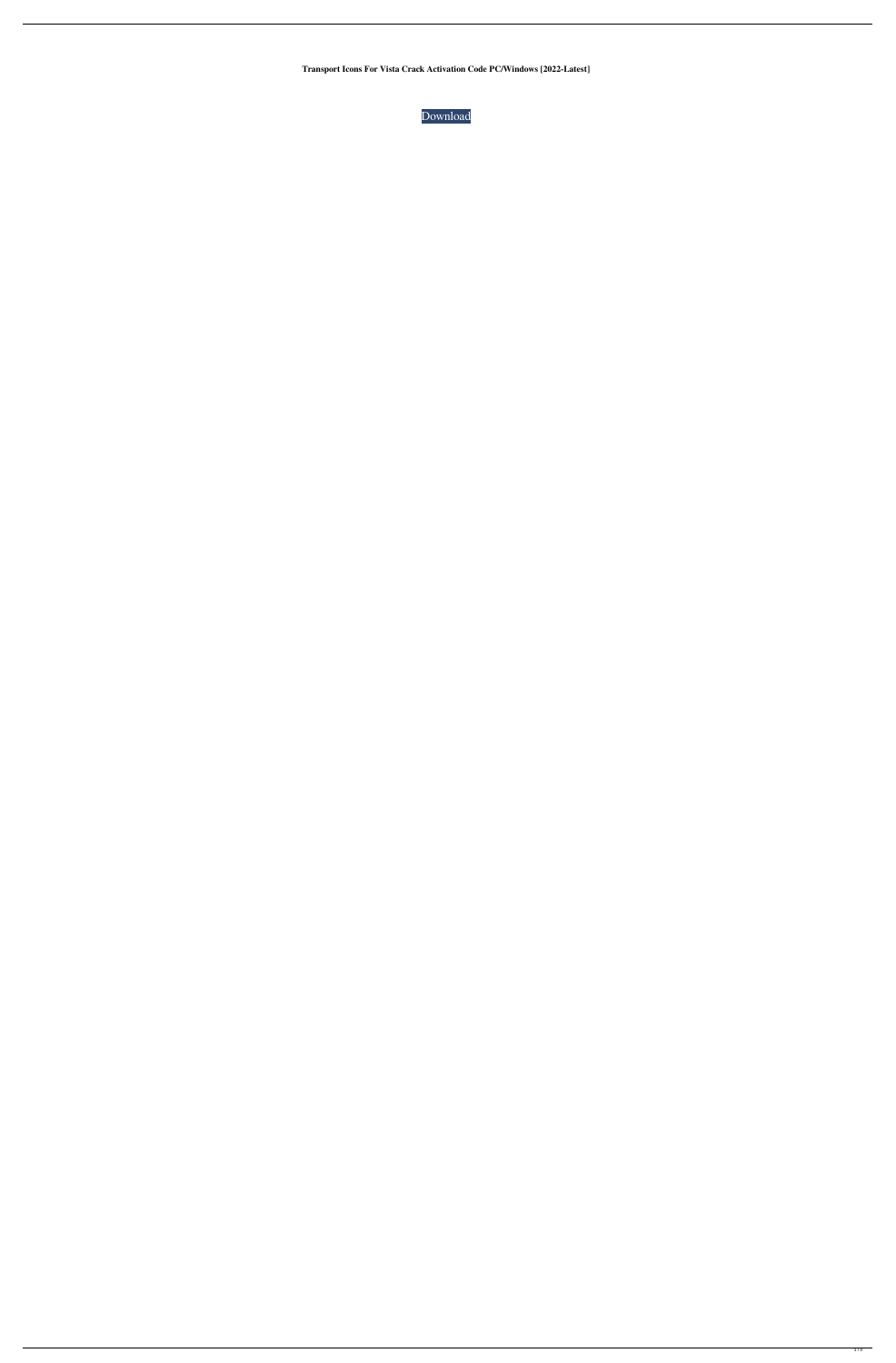**Transport Icons For Vista Crack Activation Code PC/Windows [2022-Latest]**

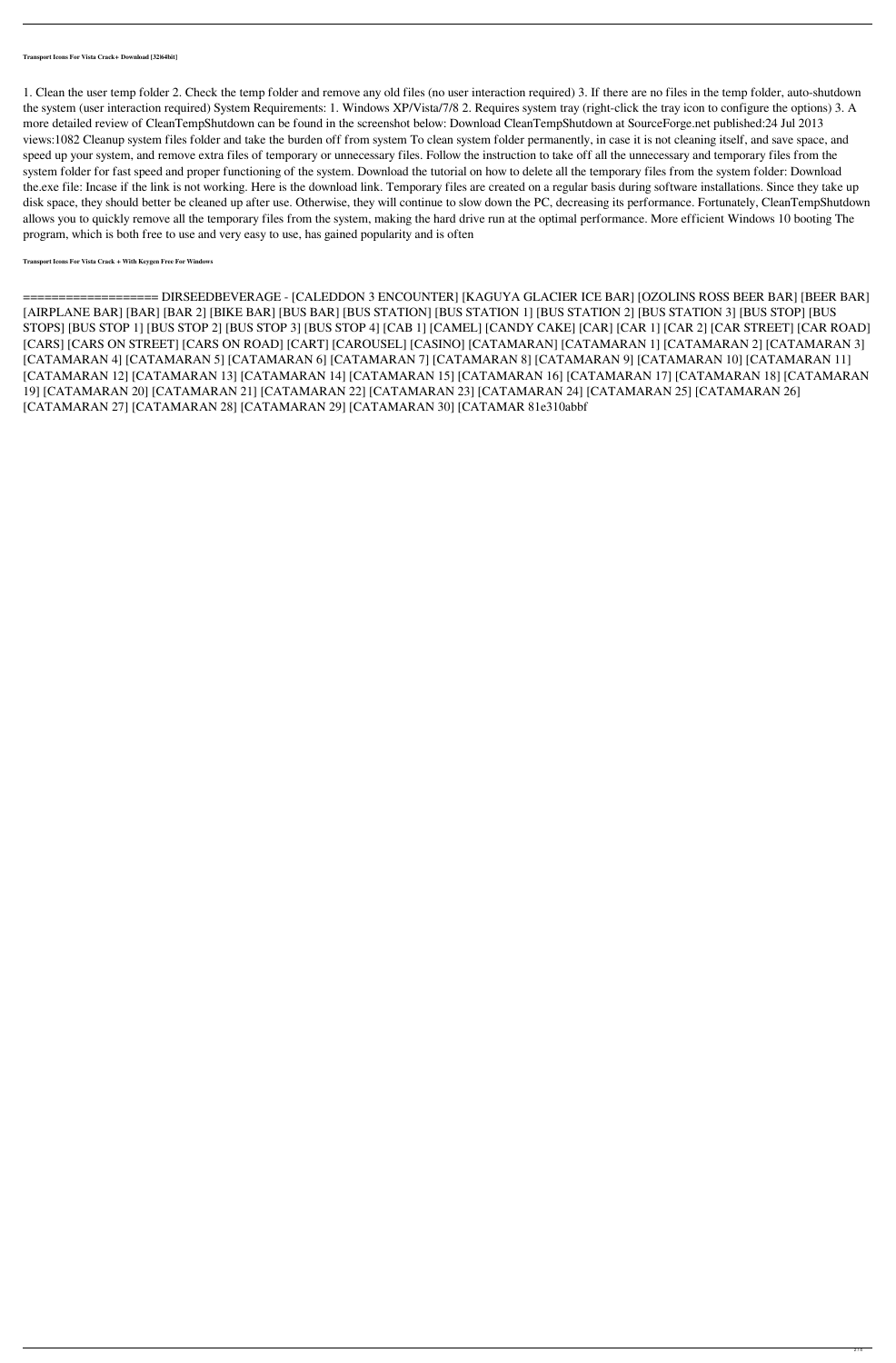**Transport Icons For Vista Crack+ Download [32|64bit]**

1. Clean the user temp folder 2. Check the temp folder and remove any old files (no user interaction required) 3. If there are no files in the temp folder, auto-shutdown the system (user interaction required) System Requirements: 1. Windows XP/Vista/7/8 2. Requires system tray (right-click the tray icon to configure the options) 3. A more detailed review of CleanTempShutdown can be found in the screenshot below: Download CleanTempShutdown at SourceForge.net published:24 Jul 2013 views:1082 Cleanup system files folder and take the burden off from system To clean system folder permanently, in case it is not cleaning itself, and save space, and speed up your system, and remove extra files of temporary or unnecessary files. Follow the instruction to take off all the unnecessary and temporary files from the system folder for fast speed and proper functioning of the system. Download the tutorial on how to delete all the temporary files from the system folder: Download the.exe file: Incase if the link is not working. Here is the download link. Temporary files are created on a regular basis during software installations. Since they take up disk space, they should better be cleaned up after use. Otherwise, they will continue to slow down the PC, decreasing its performance. Fortunately, CleanTempShutdown allows you to quickly remove all the temporary files from the system, making the hard drive run at the optimal performance. More efficient Windows 10 booting The program, which is both free to use and very easy to use, has gained popularity and is often

**Transport Icons For Vista Crack + With Keygen Free For Windows**

=================== DIRSEEDBEVERAGE - [CALEDDON 3 ENCOUNTER] [KAGUYA GLACIER ICE BAR] [OZOLINS ROSS BEER BAR] [BEER BAR] [AIRPLANE BAR] [BAR] [BAR 2] [BIKE BAR] [BUS BAR] [BUS STATION] [BUS STATION 1] [BUS STATION 2] [BUS STATION 3] [BUS STOP] [BUS STOPS] [BUS STOP 1] [BUS STOP 2] [BUS STOP 3] [BUS STOP 4] [CAB 1] [CAMEL] [CANDY CAKE] [CAR] [CAR 1] [CAR 2] [CAR STREET] [CAR ROAD] [CARS] [CARS ON STREET] [CARS ON ROAD] [CART] [CAROUSEL] [CASINO] [CATAMARAN] [CATAMARAN 1] [CATAMARAN 2] [CATAMARAN 3] [CATAMARAN 4] [CATAMARAN 5] [CATAMARAN 6] [CATAMARAN 7] [CATAMARAN 8] [CATAMARAN 9] [CATAMARAN 10] [CATAMARAN 11] [CATAMARAN 12] [CATAMARAN 13] [CATAMARAN 14] [CATAMARAN 15] [CATAMARAN 16] [CATAMARAN 17] [CATAMARAN 18] [CATAMARAN 19] [CATAMARAN 20] [CATAMARAN 21] [CATAMARAN 22] [CATAMARAN 23] [CATAMARAN 24] [CATAMARAN 25] [CATAMARAN 26] [CATAMARAN 27] [CATAMARAN 28] [CATAMARAN 29] [CATAMARAN 30] [CATAMAR 81e310abbf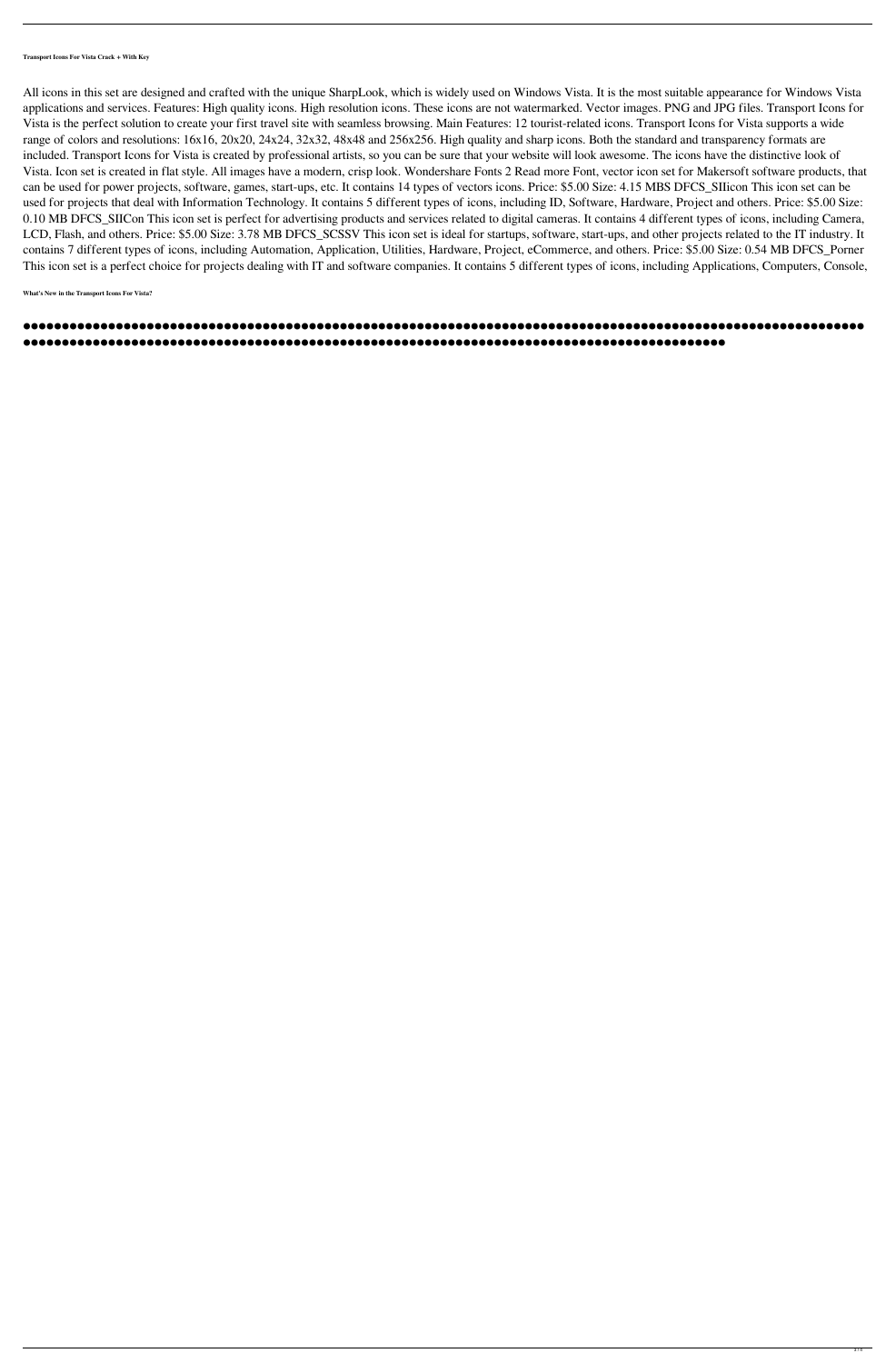**Transport Icons For Vista Crack + With Key**

All icons in this set are designed and crafted with the unique SharpLook, which is widely used on Windows Vista. It is the most suitable appearance for Windows Vista applications and services. Features: High quality icons. High resolution icons. These icons are not watermarked. Vector images. PNG and JPG files. Transport Icons for Vista is the perfect solution to create your first travel site with seamless browsing. Main Features: 12 tourist-related icons. Transport Icons for Vista supports a wide range of colors and resolutions: 16x16, 20x20, 24x24, 32x32, 48x48 and 256x256. High quality and sharp icons. Both the standard and transparency formats are included. Transport Icons for Vista is created by professional artists, so you can be sure that your website will look awesome. The icons have the distinctive look of Vista. Icon set is created in flat style. All images have a modern, crisp look. Wondershare Fonts 2 Read more Font, vector icon set for Makersoft software products, that can be used for power projects, software, games, start-ups, etc. It contains 14 types of vectors icons. Price: \$5.00 Size: 4.15 MBS DFCS\_SIIicon This icon set can be used for projects that deal with Information Technology. It contains 5 different types of icons, including ID, Software, Hardware, Project and others. Price: \$5.00 Size: 0.10 MB DFCS\_SIICon This icon set is perfect for advertising products and services related to digital cameras. It contains 4 different types of icons, including Camera, LCD, Flash, and others. Price: \$5.00 Size: 3.78 MB DFCS\_SCSSV This icon set is ideal for startups, software, start-ups, and other projects related to the IT industry. It contains 7 different types of icons, including Automation, Application, Utilities, Hardware, Project, eCommerce, and others. Price: \$5.00 Size: 0.54 MB DFCS\_Porner This icon set is a perfect choice for projects dealing with IT and software companies. It contains 5 different types of icons, including Applications, Computers, Console,

**What's New in the Transport Icons For Vista?**

## ⚫⚫⚫⚫⚫⚫⚫⚫⚫⚫⚫⚫⚫⚫⚫⚫⚫⚫⚫⚫⚫⚫⚫⚫⚫⚫⚫⚫⚫⚫⚫⚫⚫⚫⚫⚫⚫⚫⚫⚫⚫⚫⚫⚫⚫⚫⚫⚫⚫⚫⚫⚫⚫⚫⚫⚫⚫⚫⚫⚫⚫⚫⚫⚫⚫⚫⚫⚫⚫⚫⚫⚫⚫⚫⚫⚫⚫⚫⚫⚫⚫⚫⚫⚫⚫⚫⚫⚫⚫⚫⚫⚫⚫⚫⚫⚫⚫⚫⚫⚫⚫⚫⚫⚫⚫⚫⚫⚫⚫ ⚫⚫⚫⚫⚫⚫⚫⚫⚫⚫⚫⚫⚫⚫⚫⚫⚫⚫⚫⚫⚫⚫⚫⚫⚫⚫⚫⚫⚫⚫⚫⚫⚫⚫⚫⚫⚫⚫⚫⚫⚫⚫⚫⚫⚫⚫⚫⚫⚫⚫⚫⚫⚫⚫⚫⚫⚫⚫⚫⚫⚫⚫⚫⚫⚫⚫⚫⚫⚫⚫⚫⚫⚫⚫⚫⚫⚫⚫⚫⚫⚫⚫⚫⚫⚫⚫⚫⚫⚫⚫⚫